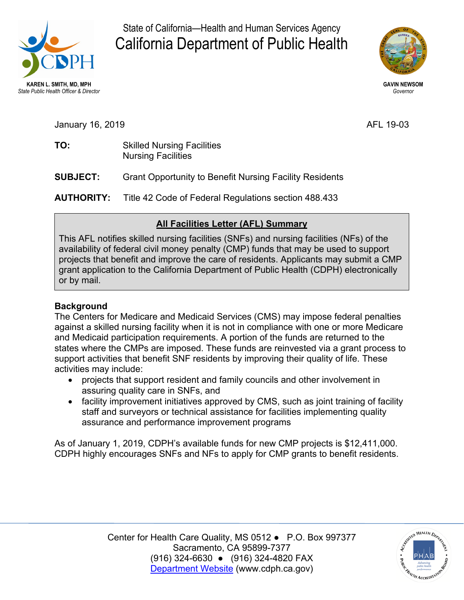

State of California—Health and Human Services Agency California Department of Public Health



January 16, 2019 **AFL 19-03** 

| AFL 19-03 |
|-----------|
|           |
|           |

TO: **Skilled Nursing Facilities** Nursing Facilities

**SUBJECT: Strant Opportunity to Benefit Nursing Facility Residents** 

**AUTHORITY:** Title 42 Code of Federal Regulations section 488.433

# **All Facilities Letter (AFL) Summary**

This AFL notifies skilled nursing facilities (SNFs) and nursing facilities (NFs) of the availability of federal civil money penalty (CMP) funds that may be used to support projects that benefit and improve the care of residents. Applicants may submit a CMP grant application to the California Department of Public Health (CDPH) electronically or by mail.

## **Background**

The Centers for Medicare and Medicaid Services (CMS) may impose federal penalties against a skilled nursing facility when it is not in compliance with one or more Medicare and Medicaid participation requirements. A portion of the funds are returned to the states where the CMPs are imposed. These funds are reinvested via a grant process to support activities that benefit SNF residents by improving their quality of life. These activities may include:

- projects that support resident and family councils and other involvement in assuring quality care in SNFs, and
- facility improvement initiatives approved by CMS, such as joint training of facility staff and surveyors or technical assistance for facilities implementing quality assurance and performance improvement programs

As of January 1, 2019, CDPH's available funds for new CMP projects is \$12,411,000. CDPH highly encourages SNFs and NFs to apply for CMP grants to benefit residents.